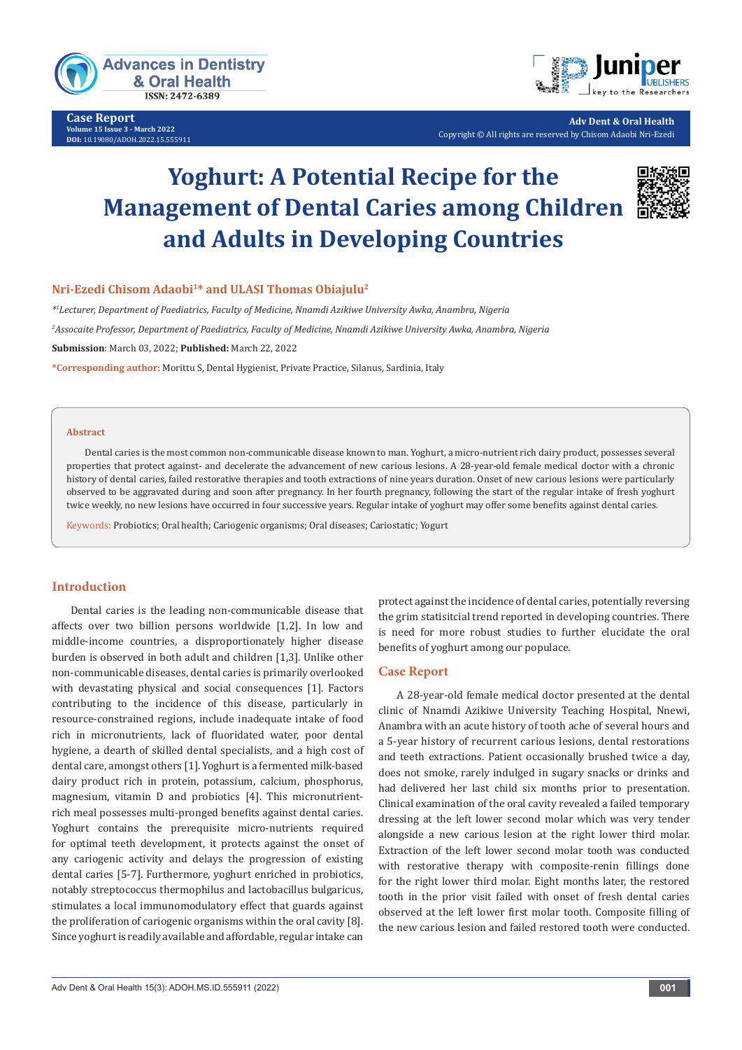

**Case Report Volume 15 Issue 3 - March 2022 DOI:** [10.19080/ADOH.2022.15.555](http://dx.doi.org/10.19080/ADOH.2022.15.555911)911



**Adv Dent & Oral Health** Copyright © All rights are reserved by Chisom Adaobi Nri-Ezedi

# **Yoghurt: A Potential Recipe for the Management of Dental Caries among Children and Adults in Developing Countries**



## **Nri-Ezedi Chisom Adaobi1\* and ULASI Thomas Obiajulu2**

*\*1 Lecturer, Department of Paediatrics, Faculty of Medicine, Nnamdi Azikiwe University Awka, Anambra, Nigeria 2 Assocaite Professor, Department of Paediatrics, Faculty of Medicine, Nnamdi Azikiwe University Awka, Anambra, Nigeria* **Submission**: March 03, 2022; **Published:** March 22, 2022

**\*Corresponding author:** Morittu S, Dental Hygienist, Private Practice, Silanus, Sardinia, Italy

#### **Abstract**

Dental caries is the most common non-communicable disease known to man. Yoghurt, a micro-nutrient rich dairy product, possesses several properties that protect against- and decelerate the advancement of new carious lesions. A 28-year-old female medical doctor with a chronic history of dental caries, failed restorative therapies and tooth extractions of nine years duration. Onset of new carious lesions were particularly observed to be aggravated during and soon after pregnancy. In her fourth pregnancy, following the start of the regular intake of fresh yoghurt twice weekly, no new lesions have occurred in four successive years. Regular intake of yoghurt may offer some benefits against dental caries.

Keywords: Probiotics; Oral health; Cariogenic organisms; Oral diseases; Cariostatic; Yogurt

## **Introduction**

Dental caries is the leading non-communicable disease that affects over two billion persons worldwide [1,2]. In low and middle-income countries, a disproportionately higher disease burden is observed in both adult and children [1,3]. Unlike other non-communicable diseases, dental caries is primarily overlooked with devastating physical and social consequences [1]. Factors contributing to the incidence of this disease, particularly in resource-constrained regions, include inadequate intake of food rich in micronutrients, lack of fluoridated water, poor dental hygiene, a dearth of skilled dental specialists, and a high cost of dental care, amongst others [1]. Yoghurt is a fermented milk-based dairy product rich in protein, potassium, calcium, phosphorus, magnesium, vitamin D and probiotics [4]. This micronutrientrich meal possesses multi-pronged benefits against dental caries. Yoghurt contains the prerequisite micro-nutrients required for optimal teeth development, it protects against the onset of any cariogenic activity and delays the progression of existing dental caries [5-7]. Furthermore, yoghurt enriched in probiotics, notably streptococcus thermophilus and lactobacillus bulgaricus, stimulates a local immunomodulatory effect that guards against the proliferation of cariogenic organisms within the oral cavity [8]. Since yoghurt is readily available and affordable, regular intake can

protect against the incidence of dental caries, potentially reversing the grim statisitcial trend reported in developing countries. There is need for more robust studies to further elucidate the oral benefits of yoghurt among our populace.

### **Case Report**

A 28-year-old female medical doctor presented at the dental clinic of Nnamdi Azikiwe University Teaching Hospital, Nnewi, Anambra with an acute history of tooth ache of several hours and a 5-year history of recurrent carious lesions, dental restorations and teeth extractions. Patient occasionally brushed twice a day, does not smoke, rarely indulged in sugary snacks or drinks and had delivered her last child six months prior to presentation. Clinical examination of the oral cavity revealed a failed temporary dressing at the left lower second molar which was very tender alongside a new carious lesion at the right lower third molar. Extraction of the left lower second molar tooth was conducted with restorative therapy with composite-renin fillings done for the right lower third molar. Eight months later, the restored tooth in the prior visit failed with onset of fresh dental caries observed at the left lower first molar tooth. Composite filling of the new carious lesion and failed restored tooth were conducted.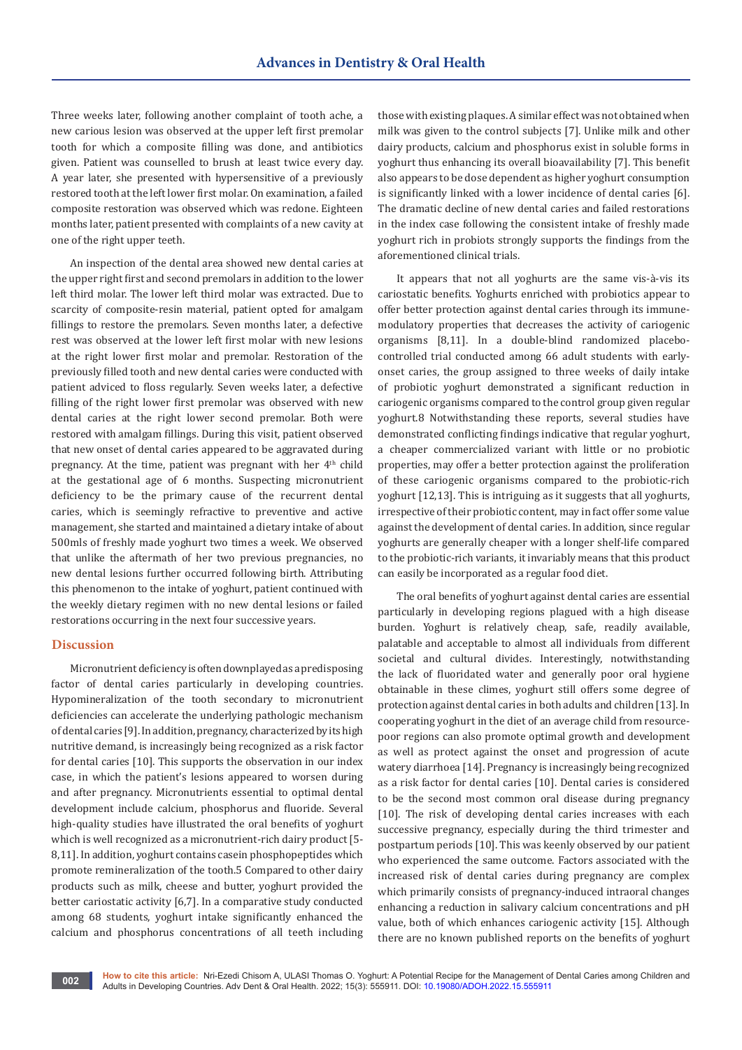Three weeks later, following another complaint of tooth ache, a new carious lesion was observed at the upper left first premolar tooth for which a composite filling was done, and antibiotics given. Patient was counselled to brush at least twice every day. A year later, she presented with hypersensitive of a previously restored tooth at the left lower first molar. On examination, a failed composite restoration was observed which was redone. Eighteen months later, patient presented with complaints of a new cavity at one of the right upper teeth.

An inspection of the dental area showed new dental caries at the upper right first and second premolars in addition to the lower left third molar. The lower left third molar was extracted. Due to scarcity of composite-resin material, patient opted for amalgam fillings to restore the premolars. Seven months later, a defective rest was observed at the lower left first molar with new lesions at the right lower first molar and premolar. Restoration of the previously filled tooth and new dental caries were conducted with patient adviced to floss regularly. Seven weeks later, a defective filling of the right lower first premolar was observed with new dental caries at the right lower second premolar. Both were restored with amalgam fillings. During this visit, patient observed that new onset of dental caries appeared to be aggravated during pregnancy. At the time, patient was pregnant with her  $4<sup>th</sup>$  child at the gestational age of 6 months. Suspecting micronutrient deficiency to be the primary cause of the recurrent dental caries, which is seemingly refractive to preventive and active management, she started and maintained a dietary intake of about 500mls of freshly made yoghurt two times a week. We observed that unlike the aftermath of her two previous pregnancies, no new dental lesions further occurred following birth. Attributing this phenomenon to the intake of yoghurt, patient continued with the weekly dietary regimen with no new dental lesions or failed restorations occurring in the next four successive years.

## **Discussion**

Micronutrient deficiency is often downplayed as a predisposing factor of dental caries particularly in developing countries. Hypomineralization of the tooth secondary to micronutrient deficiencies can accelerate the underlying pathologic mechanism of dental caries [9]. In addition, pregnancy, characterized by its high nutritive demand, is increasingly being recognized as a risk factor for dental caries [10]. This supports the observation in our index case, in which the patient's lesions appeared to worsen during and after pregnancy. Micronutrients essential to optimal dental development include calcium, phosphorus and fluoride. Several high-quality studies have illustrated the oral benefits of yoghurt which is well recognized as a micronutrient-rich dairy product [5- 8,11]. In addition, yoghurt contains casein phosphopeptides which promote remineralization of the tooth.5 Compared to other dairy products such as milk, cheese and butter, yoghurt provided the better cariostatic activity [6,7]. In a comparative study conducted among 68 students, yoghurt intake significantly enhanced the calcium and phosphorus concentrations of all teeth including

those with existing plaques. A similar effect was not obtained when milk was given to the control subjects [7]. Unlike milk and other dairy products, calcium and phosphorus exist in soluble forms in yoghurt thus enhancing its overall bioavailability [7]. This benefit also appears to be dose dependent as higher yoghurt consumption is significantly linked with a lower incidence of dental caries [6]. The dramatic decline of new dental caries and failed restorations in the index case following the consistent intake of freshly made yoghurt rich in probiots strongly supports the findings from the aforementioned clinical trials.

It appears that not all yoghurts are the same vis-à-vis its cariostatic benefits. Yoghurts enriched with probiotics appear to offer better protection against dental caries through its immunemodulatory properties that decreases the activity of cariogenic organisms [8,11]. In a double-blind randomized placebocontrolled trial conducted among 66 adult students with earlyonset caries, the group assigned to three weeks of daily intake of probiotic yoghurt demonstrated a significant reduction in cariogenic organisms compared to the control group given regular yoghurt.8 Notwithstanding these reports, several studies have demonstrated conflicting findings indicative that regular yoghurt, a cheaper commercialized variant with little or no probiotic properties, may offer a better protection against the proliferation of these cariogenic organisms compared to the probiotic-rich yoghurt [12,13]. This is intriguing as it suggests that all yoghurts, irrespective of their probiotic content, may in fact offer some value against the development of dental caries. In addition, since regular yoghurts are generally cheaper with a longer shelf-life compared to the probiotic-rich variants, it invariably means that this product can easily be incorporated as a regular food diet.

The oral benefits of yoghurt against dental caries are essential particularly in developing regions plagued with a high disease burden. Yoghurt is relatively cheap, safe, readily available, palatable and acceptable to almost all individuals from different societal and cultural divides. Interestingly, notwithstanding the lack of fluoridated water and generally poor oral hygiene obtainable in these climes, yoghurt still offers some degree of protection against dental caries in both adults and children [13]. In cooperating yoghurt in the diet of an average child from resourcepoor regions can also promote optimal growth and development as well as protect against the onset and progression of acute watery diarrhoea [14]. Pregnancy is increasingly being recognized as a risk factor for dental caries [10]. Dental caries is considered to be the second most common oral disease during pregnancy [10]. The risk of developing dental caries increases with each successive pregnancy, especially during the third trimester and postpartum periods [10]. This was keenly observed by our patient who experienced the same outcome. Factors associated with the increased risk of dental caries during pregnancy are complex which primarily consists of pregnancy-induced intraoral changes enhancing a reduction in salivary calcium concentrations and pH value, both of which enhances cariogenic activity [15]. Although there are no known published reports on the benefits of yoghurt